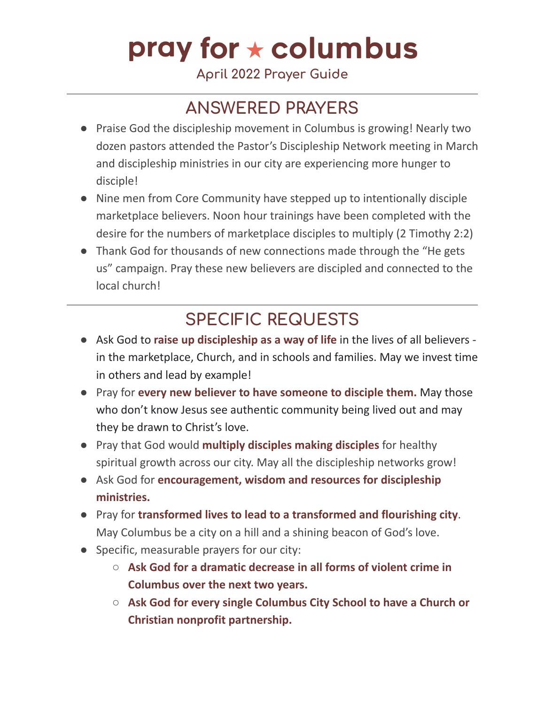# pray for  $\star$  columbus

**April 2022 Prayer Guide**

### **ANSWERED PRAYERS**

- Praise God the discipleship movement in Columbus is growing! Nearly two dozen pastors attended the Pastor's Discipleship Network meeting in March and discipleship ministries in our city are experiencing more hunger to disciple!
- Nine men from Core Community have stepped up to intentionally disciple marketplace believers. Noon hour trainings have been completed with the desire for the numbers of marketplace disciples to multiply (2 Timothy 2:2)
- Thank God for thousands of new connections made through the "He gets us" campaign. Pray these new believers are discipled and connected to the local church!

#### **SPECIFIC REQUESTS**

- Ask God to **raise up discipleship as a way of life** in the lives of all believers in the marketplace, Church, and in schools and families. May we invest time in others and lead by example!
- Pray for **every new believer to have someone to disciple them.** May those who don't know Jesus see authentic community being lived out and may they be drawn to Christ's love.
- Pray that God would **multiply disciples making disciples** for healthy spiritual growth across our city. May all the discipleship networks grow!
- Ask God for **encouragement, wisdom and resources for discipleship ministries.**
- Pray for **transformed lives to lead to a transformed and flourishing city**. May Columbus be a city on a hill and a shining beacon of God's love.
- Specific, measurable prayers for our city:
	- **Ask God for a dramatic decrease in all forms of violent crime in Columbus over the next two years.**
	- **Ask God for every single Columbus City School to have a Church or Christian nonprofit partnership.**